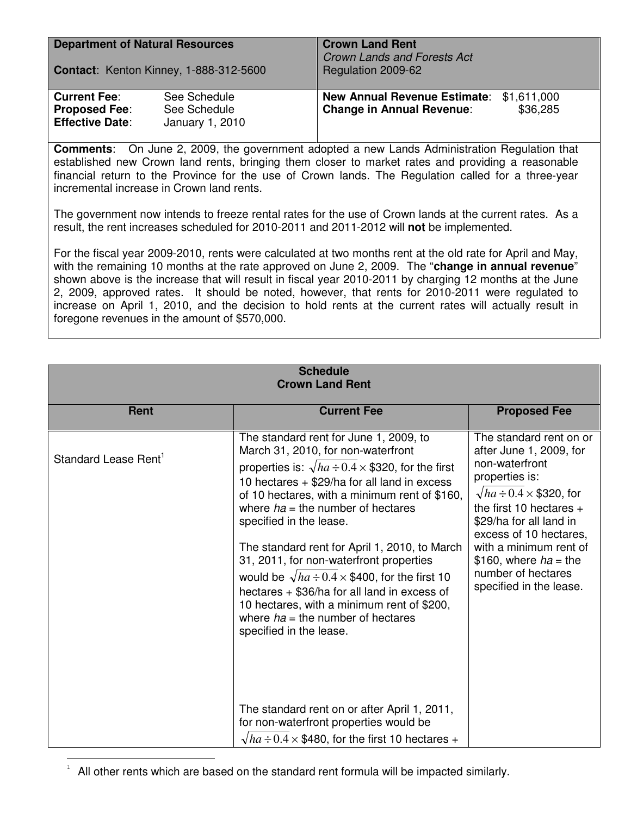| <b>Department of Natural Resources</b><br>Contact: Kenton Kinney, 1-888-312-5600 |                                                 | <b>Crown Land Rent</b><br><b>Crown Lands and Forests Act</b><br>Regulation 2009-62 |          |
|----------------------------------------------------------------------------------|-------------------------------------------------|------------------------------------------------------------------------------------|----------|
| <b>Current Fee:</b><br><b>Proposed Fee:</b><br><b>Effective Date:</b>            | See Schedule<br>See Schedule<br>January 1, 2010 | New Annual Revenue Estimate: \$1,611,000<br><b>Change in Annual Revenue:</b>       | \$36,285 |

**Comments**: On June 2, 2009, the government adopted a new Lands Administration Regulation that established new Crown land rents, bringing them closer to market rates and providing a reasonable financial return to the Province for the use of Crown lands. The Regulation called for a three-year incremental increase in Crown land rents.

The government now intends to freeze rental rates for the use of Crown lands at the current rates. As a result, the rent increases scheduled for 2010-2011 and 2011-2012 will **not** be implemented.

For the fiscal year 2009-2010, rents were calculated at two months rent at the old rate for April and May, with the remaining 10 months at the rate approved on June 2, 2009. The "**change in annual revenue**" shown above is the increase that will result in fiscal year 2010-2011 by charging 12 months at the June 2, 2009, approved rates. It should be noted, however, that rents for 2010-2011 were regulated to increase on April 1, 2010, and the decision to hold rents at the current rates will actually result in foregone revenues in the amount of \$570,000.

| <b>Schedule</b><br><b>Crown Land Rent</b> |                                                                                                                                                                                                                                                                                                                                                                                                                                                                                                                                                                                                                                                                                                                                                                                                              |                                                                                                                                                                                                                                                                                                                          |  |  |  |
|-------------------------------------------|--------------------------------------------------------------------------------------------------------------------------------------------------------------------------------------------------------------------------------------------------------------------------------------------------------------------------------------------------------------------------------------------------------------------------------------------------------------------------------------------------------------------------------------------------------------------------------------------------------------------------------------------------------------------------------------------------------------------------------------------------------------------------------------------------------------|--------------------------------------------------------------------------------------------------------------------------------------------------------------------------------------------------------------------------------------------------------------------------------------------------------------------------|--|--|--|
| <b>Rent</b>                               | <b>Current Fee</b>                                                                                                                                                                                                                                                                                                                                                                                                                                                                                                                                                                                                                                                                                                                                                                                           | <b>Proposed Fee</b>                                                                                                                                                                                                                                                                                                      |  |  |  |
| Standard Lease Rent <sup>1</sup>          | The standard rent for June 1, 2009, to<br>March 31, 2010, for non-waterfront<br>properties is: $\sqrt{ha} \div 0.4 \times $320$ , for the first<br>10 hectares $+$ \$29/ha for all land in excess<br>of 10 hectares, with a minimum rent of \$160,<br>where $ha =$ the number of hectares<br>specified in the lease.<br>The standard rent for April 1, 2010, to March<br>31, 2011, for non-waterfront properties<br>would be $\sqrt{ha} \div 0.4 \times $400$ , for the first 10<br>hectares + \$36/ha for all land in excess of<br>10 hectares, with a minimum rent of \$200,<br>where $ha =$ the number of hectares<br>specified in the lease.<br>The standard rent on or after April 1, 2011,<br>for non-waterfront properties would be<br>$\sqrt{ha} \div 0.4 \times $480$ , for the first 10 hectares + | The standard rent on or<br>after June 1, 2009, for<br>non-waterfront<br>properties is:<br>$\sqrt{ha} \div 0.4 \times $320$ , for<br>the first 10 hectares $+$<br>\$29/ha for all land in<br>excess of 10 hectares.<br>with a minimum rent of<br>\$160, where $ha =$ the<br>number of hectares<br>specified in the lease. |  |  |  |

<sup>1</sup> All other rents which are based on the standard rent formula will be impacted similarly.